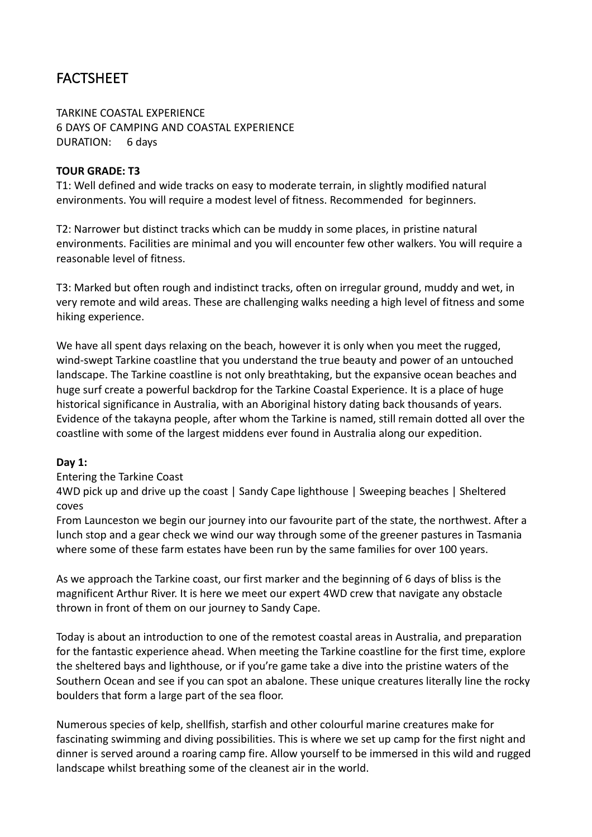# FACTSHEET

TARKINE COASTAL EXPERIENCE **6 DAYS OF CAMPING AND COASTAL EXPERIENCE** DURATION: 6 days

#### **TOUR GRADE: T3**

T1: Well defined and wide tracks on easy to moderate terrain, in slightly modified natural environments. You will require a modest level of fitness. Recommended for beginners.

T2: Narrower but distinct tracks which can be muddy in some places, in pristine natural environments. Facilities are minimal and you will encounter few other walkers. You will require a reasonable level of fitness.

T3: Marked but often rough and indistinct tracks, often on irregular ground, muddy and wet, in very remote and wild areas. These are challenging walks needing a high level of fitness and some hiking experience.

We have all spent days relaxing on the beach, however it is only when you meet the rugged, wind-swept Tarkine coastline that you understand the true beauty and power of an untouched landscape. The Tarkine coastline is not only breathtaking, but the expansive ocean beaches and huge surf create a powerful backdrop for the Tarkine Coastal Experience. It is a place of huge historical significance in Australia, with an Aboriginal history dating back thousands of years. Evidence of the takayna people, after whom the Tarkine is named, still remain dotted all over the coastline with some of the largest middens ever found in Australia along our expedition.

#### **Day 1:**

Entering the Tarkine Coast

4WD pick up and drive up the coast | Sandy Cape lighthouse | Sweeping beaches | Sheltered coves

From Launceston we begin our journey into our favourite part of the state, the northwest. After a lunch stop and a gear check we wind our way through some of the greener pastures in Tasmania where some of these farm estates have been run by the same families for over 100 years.

As we approach the Tarkine coast, our first marker and the beginning of 6 days of bliss is the magnificent Arthur River. It is here we meet our expert 4WD crew that navigate any obstacle thrown in front of them on our journey to Sandy Cape.

Today is about an introduction to one of the remotest coastal areas in Australia, and preparation for the fantastic experience ahead. When meeting the Tarkine coastline for the first time, explore the sheltered bays and lighthouse, or if you're game take a dive into the pristine waters of the Southern Ocean and see if you can spot an abalone. These unique creatures literally line the rocky boulders that form a large part of the sea floor.

Numerous species of kelp, shellfish, starfish and other colourful marine creatures make for fascinating swimming and diving possibilities. This is where we set up camp for the first night and dinner is served around a roaring camp fire. Allow yourself to be immersed in this wild and rugged landscape whilst breathing some of the cleanest air in the world.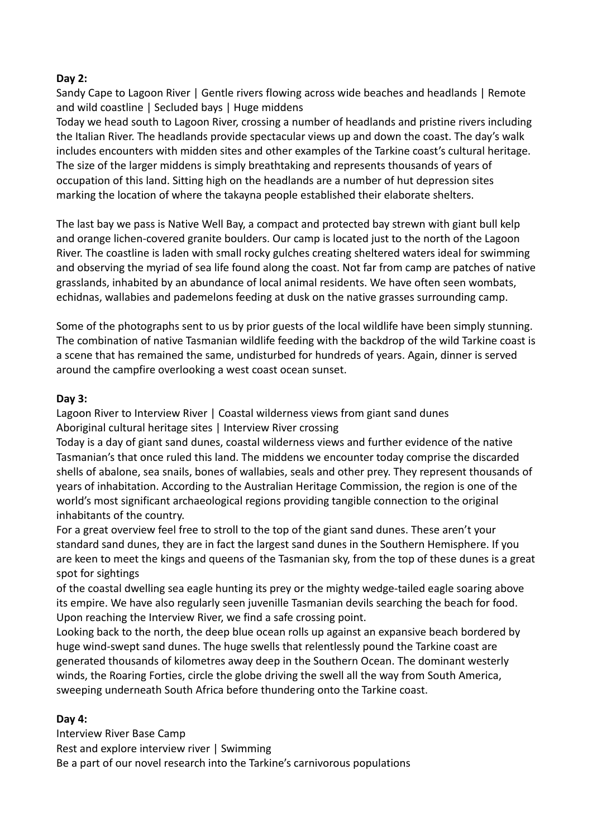# **Day 2:**

Sandy Cape to Lagoon River | Gentle rivers flowing across wide beaches and headlands | Remote and wild coastline | Secluded bays | Huge middens

Today we head south to Lagoon River, crossing a number of headlands and pristine rivers including the Italian River. The headlands provide spectacular views up and down the coast. The day's walk includes encounters with midden sites and other examples of the Tarkine coast's cultural heritage. The size of the larger middens is simply breathtaking and represents thousands of years of occupation of this land. Sitting high on the headlands are a number of hut depression sites marking the location of where the takayna people established their elaborate shelters.

The last bay we pass is Native Well Bay, a compact and protected bay strewn with giant bull kelp and orange lichen-covered granite boulders. Our camp is located just to the north of the Lagoon River. The coastline is laden with small rocky gulches creating sheltered waters ideal for swimming and observing the myriad of sea life found along the coast. Not far from camp are patches of native grasslands, inhabited by an abundance of local animal residents. We have often seen wombats, echidnas, wallabies and pademelons feeding at dusk on the native grasses surrounding camp.

Some of the photographs sent to us by prior guests of the local wildlife have been simply stunning. The combination of native Tasmanian wildlife feeding with the backdrop of the wild Tarkine coast is a scene that has remained the same, undisturbed for hundreds of years. Again, dinner is served around the campfire overlooking a west coast ocean sunset.

#### **Day 3:**

Lagoon River to Interview River | Coastal wilderness views from giant sand dunes Aboriginal cultural heritage sites | Interview River crossing

Today is a day of giant sand dunes, coastal wilderness views and further evidence of the native Tasmanian's that once ruled this land. The middens we encounter today comprise the discarded shells of abalone, sea snails, bones of wallabies, seals and other prey. They represent thousands of years of inhabitation. According to the Australian Heritage Commission, the region is one of the world's most significant archaeological regions providing tangible connection to the original inhabitants of the country.

For a great overview feel free to stroll to the top of the giant sand dunes. These aren't your standard sand dunes, they are in fact the largest sand dunes in the Southern Hemisphere. If you are keen to meet the kings and queens of the Tasmanian sky, from the top of these dunes is a great spot for sightings

of the coastal dwelling sea eagle hunting its prey or the mighty wedge-tailed eagle soaring above its empire. We have also regularly seen juvenille Tasmanian devils searching the beach for food. Upon reaching the Interview River, we find a safe crossing point.

Looking back to the north, the deep blue ocean rolls up against an expansive beach bordered by huge wind-swept sand dunes. The huge swells that relentlessly pound the Tarkine coast are generated thousands of kilometres away deep in the Southern Ocean. The dominant westerly winds, the Roaring Forties, circle the globe driving the swell all the way from South America, sweeping underneath South Africa before thundering onto the Tarkine coast.

#### **Day 4:**

Interview River Base Camp Rest and explore interview river | Swimming Be a part of our novel research into the Tarkine's carnivorous populations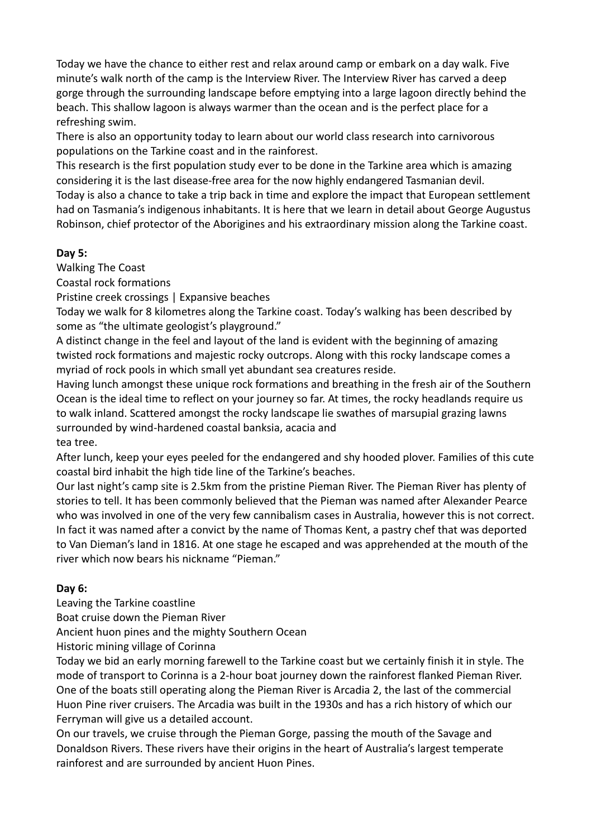Today we have the chance to either rest and relax around camp or embark on a day walk. Five minute's walk north of the camp is the Interview River. The Interview River has carved a deep gorge through the surrounding landscape before emptying into a large lagoon directly behind the beach. This shallow lagoon is always warmer than the ocean and is the perfect place for a refreshing swim.

There is also an opportunity today to learn about our world class research into carnivorous populations on the Tarkine coast and in the rainforest.

This research is the first population study ever to be done in the Tarkine area which is amazing considering it is the last disease-free area for the now highly endangered Tasmanian devil. Today is also a chance to take a trip back in time and explore the impact that European settlement had on Tasmania's indigenous inhabitants. It is here that we learn in detail about George Augustus Robinson, chief protector of the Aborigines and his extraordinary mission along the Tarkine coast.

# **Day 5:**

Walking The Coast

Coastal rock formations 

Pristine creek crossings | Expansive beaches

Today we walk for 8 kilometres along the Tarkine coast. Today's walking has been described by some as "the ultimate geologist's playground."

A distinct change in the feel and layout of the land is evident with the beginning of amazing twisted rock formations and majestic rocky outcrops. Along with this rocky landscape comes a myriad of rock pools in which small yet abundant sea creatures reside.

Having lunch amongst these unique rock formations and breathing in the fresh air of the Southern Ocean is the ideal time to reflect on your journey so far. At times, the rocky headlands require us to walk inland. Scattered amongst the rocky landscape lie swathes of marsupial grazing lawns surrounded by wind-hardened coastal banksia, acacia and tea tree.

After lunch, keep your eyes peeled for the endangered and shy hooded plover. Families of this cute coastal bird inhabit the high tide line of the Tarkine's beaches.

Our last night's camp site is 2.5km from the pristine Pieman River. The Pieman River has plenty of stories to tell. It has been commonly believed that the Pieman was named after Alexander Pearce who was involved in one of the very few cannibalism cases in Australia, however this is not correct. In fact it was named after a convict by the name of Thomas Kent, a pastry chef that was deported to Van Dieman's land in 1816. At one stage he escaped and was apprehended at the mouth of the river which now bears his nickname "Pieman."

# **Day 6:**

Leaving the Tarkine coastline

Boat cruise down the Pieman River

Ancient huon pines and the mighty Southern Ocean

Historic mining village of Corinna

Today we bid an early morning farewell to the Tarkine coast but we certainly finish it in style. The mode of transport to Corinna is a 2-hour boat journey down the rainforest flanked Pieman River. One of the boats still operating along the Pieman River is Arcadia 2, the last of the commercial Huon Pine river cruisers. The Arcadia was built in the 1930s and has a rich history of which our Ferryman will give us a detailed account.

On our travels, we cruise through the Pieman Gorge, passing the mouth of the Savage and Donaldson Rivers. These rivers have their origins in the heart of Australia's largest temperate rainforest and are surrounded by ancient Huon Pines.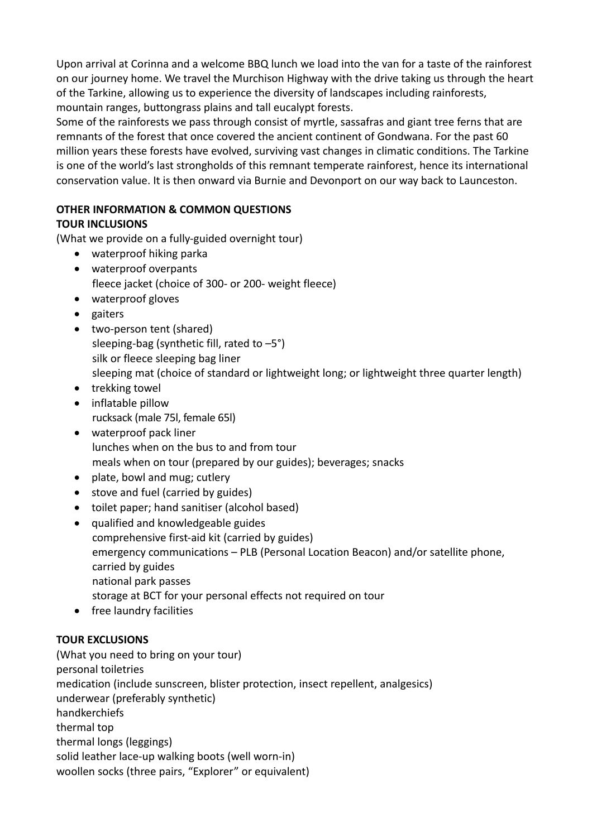Upon arrival at Corinna and a welcome BBQ lunch we load into the van for a taste of the rainforest on our journey home. We travel the Murchison Highway with the drive taking us through the heart of the Tarkine, allowing us to experience the diversity of landscapes including rainforests, mountain ranges, buttongrass plains and tall eucalypt forests.

Some of the rainforests we pass through consist of myrtle, sassafras and giant tree ferns that are remnants of the forest that once covered the ancient continent of Gondwana. For the past 60 million years these forests have evolved, surviving vast changes in climatic conditions. The Tarkine is one of the world's last strongholds of this remnant temperate rainforest, hence its international conservation value. It is then onward via Burnie and Devonport on our way back to Launceston.

# **OTHER INFORMATION & COMMON QUESTIONS**

# **TOUR INCLUSIONS**

(What we provide on a fully-guided overnight tour)

- waterproof hiking parka
- waterproof overpants fleece jacket (choice of 300- or 200- weight fleece)
- waterproof gloves
- gaiters
- two-person tent (shared) sleeping-bag (synthetic fill, rated to  $-5^{\circ}$ ) silk or fleece sleeping bag liner sleeping mat (choice of standard or lightweight long; or lightweight three quarter length)
- $\bullet$  trekking towel
- inflatable pillow rucksack (male 75l, female 65l)
- waterproof pack liner lunches when on the bus to and from tour meals when on tour (prepared by our guides); beverages; snacks
- plate, bowl and mug; cutlery
- stove and fuel (carried by guides)
- toilet paper: hand sanitiser (alcohol based)
- qualified and knowledgeable guides comprehensive first-aid kit (carried by guides) emergency communications – PLB (Personal Location Beacon) and/or satellite phone, carried by guides national park passes storage at BCT for your personal effects not required on tour
- free laundry facilities

# **TOUR EXCLUSIONS**

(What you need to bring on your tour) personal toiletries medication (include sunscreen, blister protection, insect repellent, analgesics) underwear (preferably synthetic) handkerchiefs thermal top thermal longs (leggings) solid leather lace-up walking boots (well worn-in) woollen socks (three pairs, "Explorer" or equivalent)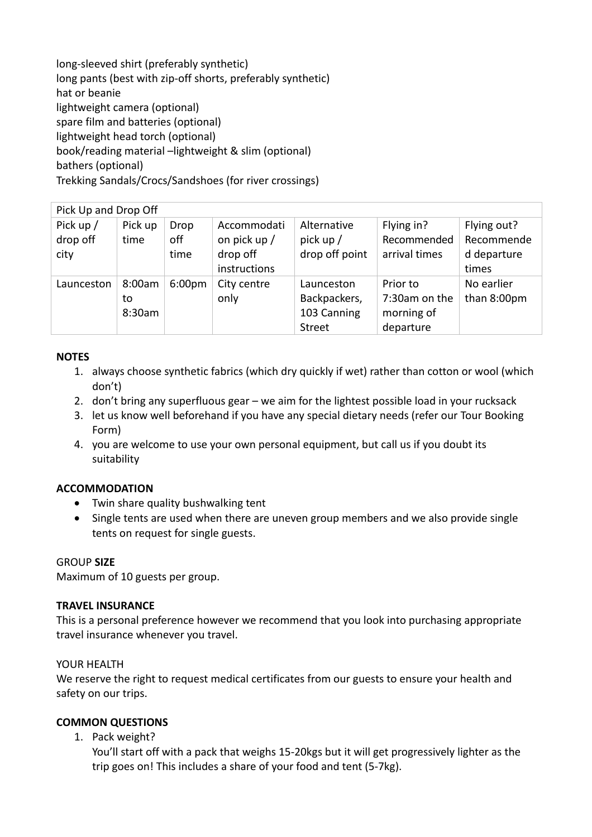long-sleeved shirt (preferably synthetic) long pants (best with zip-off shorts, preferably synthetic) hat or beanie lightweight camera (optional) spare film and batteries (optional) lightweight head torch (optional) book/reading material -lightweight & slim (optional) bathers (optional) Trekking Sandals/Crocs/Sandshoes (for river crossings)

| Pick Up and Drop Off            |                        |                     |                                                         |                                                            |                                                      |                                                   |  |  |
|---------------------------------|------------------------|---------------------|---------------------------------------------------------|------------------------------------------------------------|------------------------------------------------------|---------------------------------------------------|--|--|
| Pick up $/$<br>drop off<br>city | Pick up<br>time        | Drop<br>off<br>time | Accommodati<br>on pick up /<br>drop off<br>instructions | Alternative<br>pick up $/$<br>drop off point               | Flying in?<br>Recommended<br>arrival times           | Flying out?<br>Recommende<br>d departure<br>times |  |  |
| Launceston                      | 8:00am<br>to<br>8:30am | 6:00 <sub>pm</sub>  | City centre<br>only                                     | Launceston<br>Backpackers,<br>103 Canning<br><b>Street</b> | Prior to<br>7:30am on the<br>morning of<br>departure | No earlier<br>than 8:00pm                         |  |  |

#### **NOTES**

- 1. always choose synthetic fabrics (which dry quickly if wet) rather than cotton or wool (which don't)
- 2. don't bring any superfluous gear we aim for the lightest possible load in your rucksack
- 3. Let us know well beforehand if you have any special dietary needs (refer our Tour Booking Form)
- 4. you are welcome to use your own personal equipment, but call us if you doubt its suitability

# **ACCOMMODATION**

- Twin share quality bushwalking tent
- Single tents are used when there are uneven group members and we also provide single tents on request for single guests.

# GROUP **SIZE**

Maximum of 10 guests per group.

#### **TRAVEL INSURANCE**

This is a personal preference however we recommend that you look into purchasing appropriate travel insurance whenever you travel.

#### YOUR HEALTH

We reserve the right to request medical certificates from our guests to ensure your health and safety on our trips.

# **COMMON QUESTIONS**

1. Pack weight?

You'll start off with a pack that weighs 15-20kgs but it will get progressively lighter as the trip goes on! This includes a share of your food and tent (5-7kg).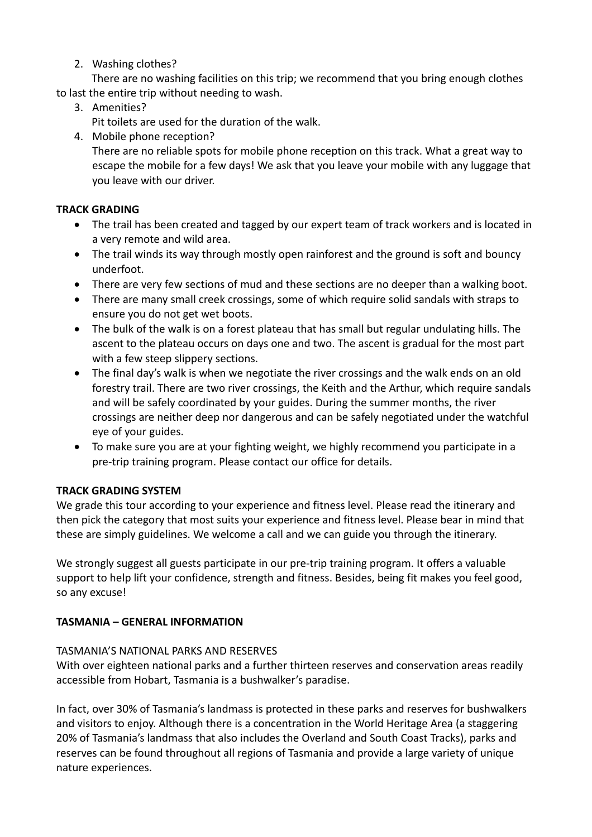2. Washing clothes?

There are no washing facilities on this trip; we recommend that you bring enough clothes to last the entire trip without needing to wash.

3. Amenities?

Pit toilets are used for the duration of the walk.

4. Mobile phone reception?

There are no reliable spots for mobile phone reception on this track. What a great way to escape the mobile for a few days! We ask that you leave your mobile with any luggage that you leave with our driver.

# **TRACK GRADING**

- The trail has been created and tagged by our expert team of track workers and is located in a very remote and wild area.
- The trail winds its way through mostly open rainforest and the ground is soft and bouncy underfoot.
- There are very few sections of mud and these sections are no deeper than a walking boot.
- There are many small creek crossings, some of which require solid sandals with straps to ensure you do not get wet boots.
- The bulk of the walk is on a forest plateau that has small but regular undulating hills. The ascent to the plateau occurs on days one and two. The ascent is gradual for the most part with a few steep slippery sections.
- The final day's walk is when we negotiate the river crossings and the walk ends on an old forestry trail. There are two river crossings, the Keith and the Arthur, which require sandals and will be safely coordinated by your guides. During the summer months, the river crossings are neither deep nor dangerous and can be safely negotiated under the watchful eve of your guides.
- To make sure you are at your fighting weight, we highly recommend you participate in a pre-trip training program. Please contact our office for details.

# **TRACK GRADING SYSTEM**

We grade this tour according to your experience and fitness level. Please read the itinerary and then pick the category that most suits your experience and fitness level. Please bear in mind that these are simply guidelines. We welcome a call and we can guide you through the itinerary.

We strongly suggest all guests participate in our pre-trip training program. It offers a valuable support to help lift your confidence, strength and fitness. Besides, being fit makes you feel good, so any excuse!

# **TASMANIA – GENERAL INFORMATION**

# TASMANIA'S NATIONAL PARKS AND RESERVES

With over eighteen national parks and a further thirteen reserves and conservation areas readily accessible from Hobart, Tasmania is a bushwalker's paradise.

In fact, over 30% of Tasmania's landmass is protected in these parks and reserves for bushwalkers and visitors to enjoy. Although there is a concentration in the World Heritage Area (a staggering 20% of Tasmania's landmass that also includes the Overland and South Coast Tracks), parks and reserves can be found throughout all regions of Tasmania and provide a large variety of unique nature experiences.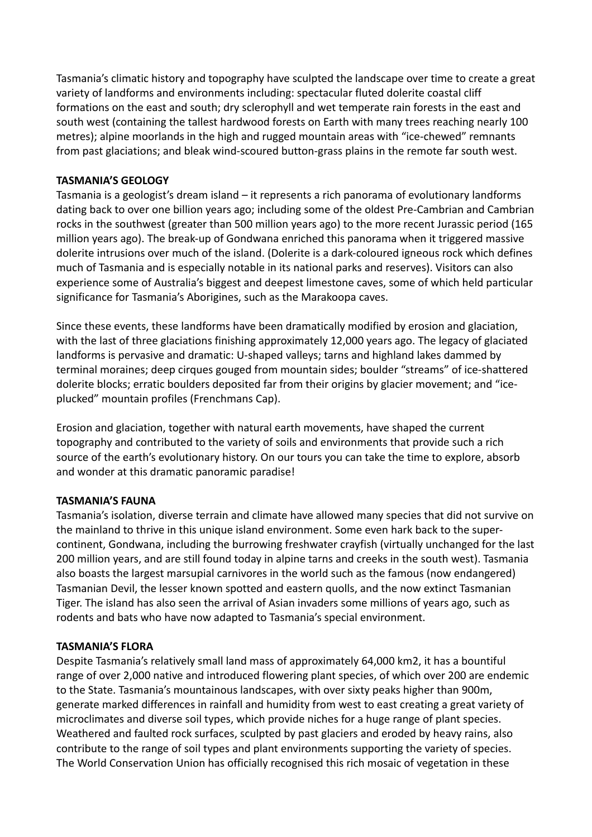Tasmania's climatic history and topography have sculpted the landscape over time to create a great variety of landforms and environments including: spectacular fluted dolerite coastal cliff formations on the east and south; dry sclerophyll and wet temperate rain forests in the east and south west (containing the tallest hardwood forests on Earth with many trees reaching nearly 100 metres); alpine moorlands in the high and rugged mountain areas with "ice-chewed" remnants from past glaciations; and bleak wind-scoured button-grass plains in the remote far south west.

### **TASMANIA'S GEOLOGY**

Tasmania is a geologist's dream island  $-$  it represents a rich panorama of evolutionary landforms dating back to over one billion years ago; including some of the oldest Pre-Cambrian and Cambrian rocks in the southwest (greater than 500 million years ago) to the more recent Jurassic period (165 million years ago). The break-up of Gondwana enriched this panorama when it triggered massive dolerite intrusions over much of the island. (Dolerite is a dark-coloured igneous rock which defines much of Tasmania and is especially notable in its national parks and reserves). Visitors can also experience some of Australia's biggest and deepest limestone caves, some of which held particular significance for Tasmania's Aborigines, such as the Marakoopa caves.

Since these events, these landforms have been dramatically modified by erosion and glaciation, with the last of three glaciations finishing approximately 12,000 years ago. The legacy of glaciated landforms is pervasive and dramatic: U-shaped valleys; tarns and highland lakes dammed by terminal moraines; deep cirques gouged from mountain sides; boulder "streams" of ice-shattered dolerite blocks; erratic boulders deposited far from their origins by glacier movement; and "iceplucked" mountain profiles (Frenchmans Cap).

Erosion and glaciation, together with natural earth movements, have shaped the current topography and contributed to the variety of soils and environments that provide such a rich source of the earth's evolutionary history. On our tours you can take the time to explore, absorb and wonder at this dramatic panoramic paradise!

#### **TASMANIA'S FAUNA**

Tasmania's isolation, diverse terrain and climate have allowed many species that did not survive on the mainland to thrive in this unique island environment. Some even hark back to the supercontinent, Gondwana, including the burrowing freshwater crayfish (virtually unchanged for the last 200 million years, and are still found today in alpine tarns and creeks in the south west). Tasmania also boasts the largest marsupial carnivores in the world such as the famous (now endangered) Tasmanian Devil, the lesser known spotted and eastern quolls, and the now extinct Tasmanian Tiger. The island has also seen the arrival of Asian invaders some millions of years ago, such as rodents and bats who have now adapted to Tasmania's special environment.

#### **TASMANIA'S FLORA**

Despite Tasmania's relatively small land mass of approximately 64,000 km2, it has a bountiful range of over 2,000 native and introduced flowering plant species, of which over 200 are endemic to the State. Tasmania's mountainous landscapes, with over sixty peaks higher than 900m, generate marked differences in rainfall and humidity from west to east creating a great variety of microclimates and diverse soil types, which provide niches for a huge range of plant species. Weathered and faulted rock surfaces, sculpted by past glaciers and eroded by heavy rains, also contribute to the range of soil types and plant environments supporting the variety of species. The World Conservation Union has officially recognised this rich mosaic of vegetation in these